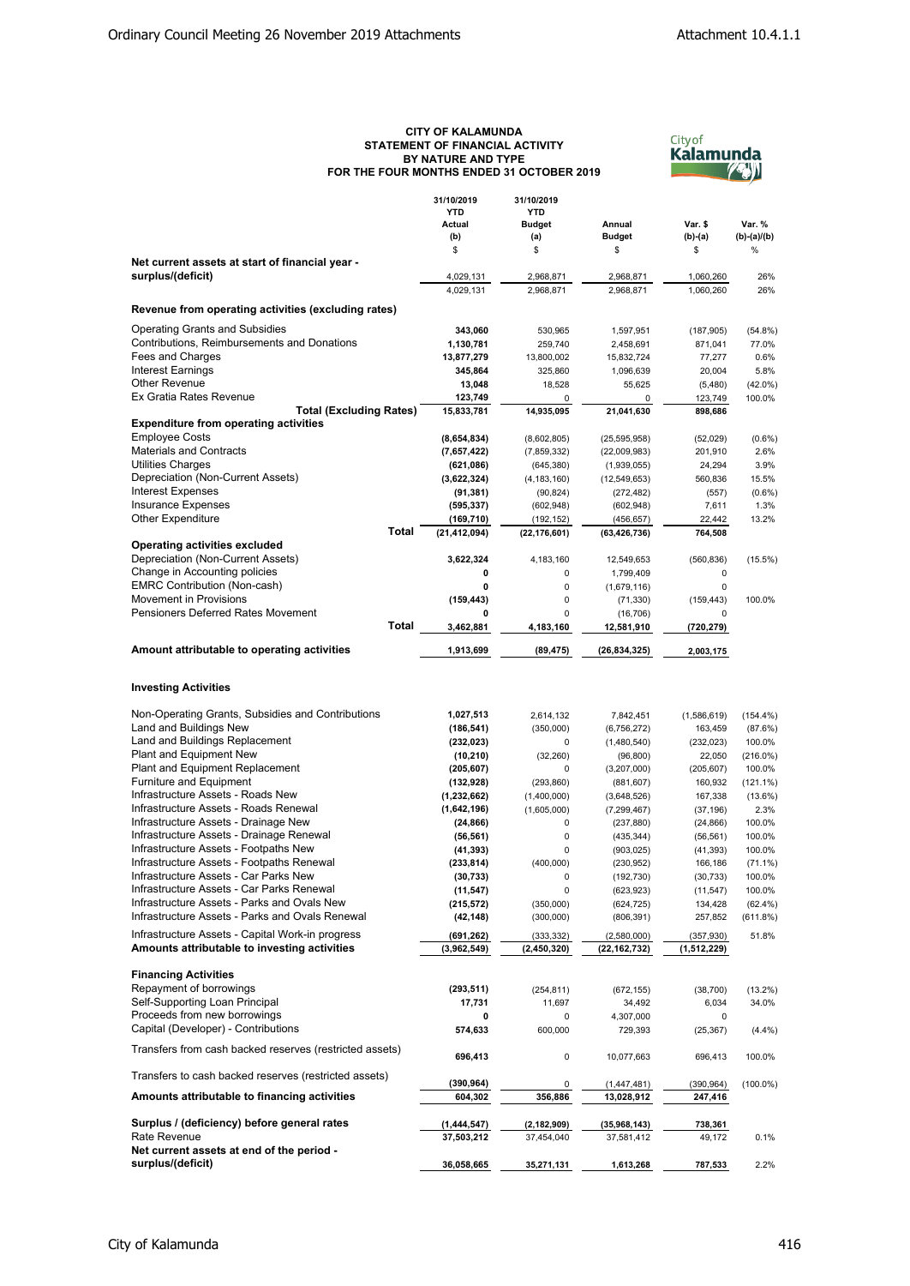## **CITY OF KALAMUNDA STATEMENT OF FINANCIAL ACTIVITY BY NATURE AND TYPE FOR THE FOUR MONTHS ENDED 31 OCTOBER 2019**



|                                                         | 31/10/2019<br><b>YTD</b> | 31/10/2019<br><b>YTD</b> |                |             |               |
|---------------------------------------------------------|--------------------------|--------------------------|----------------|-------------|---------------|
|                                                         |                          |                          |                |             |               |
|                                                         | Actual                   | <b>Budget</b>            | Annual         | Var. \$     | Var. %        |
|                                                         | (b)                      | (a)                      | <b>Budget</b>  | $(b)-(a)$   | $(b)-(a)/(b)$ |
|                                                         | \$                       | \$                       | \$             | \$          | %             |
| Net current assets at start of financial year -         |                          |                          |                |             |               |
| surplus/(deficit)                                       | 4,029,131                | 2,968,871                | 2,968,871      | 1,060,260   | 26%           |
|                                                         | 4,029,131                | 2,968,871                | 2,968,871      | 1,060,260   | 26%           |
|                                                         |                          |                          |                |             |               |
| Revenue from operating activities (excluding rates)     |                          |                          |                |             |               |
| <b>Operating Grants and Subsidies</b>                   | 343,060                  | 530,965                  | 1,597,951      | (187, 905)  | $(54.8\%)$    |
| Contributions, Reimbursements and Donations             | 1,130,781                | 259,740                  | 2,458,691      | 871,041     | 77.0%         |
| Fees and Charges                                        | 13,877,279               |                          |                |             | 0.6%          |
|                                                         |                          | 13,800,002               | 15,832,724     | 77,277      |               |
| <b>Interest Earnings</b>                                | 345,864                  | 325,860                  | 1,096,639      | 20,004      | 5.8%          |
| <b>Other Revenue</b>                                    | 13,048                   | 18,528                   | 55,625         | (5,480)     | $(42.0\%)$    |
| Ex Gratia Rates Revenue                                 | 123,749                  | 0                        | 0              | 123,749     | 100.0%        |
| <b>Total (Excluding Rates)</b>                          | 15,833,781               | 14,935,095               | 21,041,630     | 898,686     |               |
| <b>Expenditure from operating activities</b>            |                          |                          |                |             |               |
| <b>Employee Costs</b>                                   | (8,654,834)              | (8,602,805)              | (25, 595, 958) | (52,029)    | $(0.6\%)$     |
| <b>Materials and Contracts</b>                          | (7,657,422)              | (7,859,332)              | (22,009,983)   | 201,910     | 2.6%          |
| <b>Utilities Charges</b>                                | (621, 086)               |                          |                | 24,294      | 3.9%          |
|                                                         |                          | (645, 380)               | (1,939,055)    |             |               |
| Depreciation (Non-Current Assets)                       | (3,622,324)              | (4, 183, 160)            | (12, 549, 653) | 560,836     | 15.5%         |
| <b>Interest Expenses</b>                                | (91,381)                 | (90, 824)                | (272, 482)     | (557)       | $(0.6\%)$     |
| Insurance Expenses                                      | (595, 337)               | (602, 948)               | (602, 948)     | 7,611       | 1.3%          |
| <b>Other Expenditure</b>                                | (169, 710)               | (192, 152)               | (456, 657)     | 22,442      | 13.2%         |
| Total                                                   | (21, 412, 094)           | (22, 176, 601)           | (63, 426, 736) | 764,508     |               |
| <b>Operating activities excluded</b>                    |                          |                          |                |             |               |
| Depreciation (Non-Current Assets)                       | 3,622,324                | 4,183,160                | 12,549,653     | (560, 836)  | $(15.5\%)$    |
|                                                         |                          |                          |                |             |               |
| Change in Accounting policies                           | 0                        | 0                        | 1,799,409      | 0           |               |
| <b>EMRC Contribution (Non-cash)</b>                     | 0                        | 0                        | (1,679,116)    | 0           |               |
| <b>Movement in Provisions</b>                           | (159, 443)               | 0                        | (71, 330)      | (159, 443)  | 100.0%        |
| <b>Pensioners Deferred Rates Movement</b>               |                          | 0                        | (16, 706)      | 0           |               |
| Total                                                   | 3,462,881                | 4,183,160                | 12,581,910     | (720,279)   |               |
|                                                         |                          |                          |                |             |               |
| Amount attributable to operating activities             | 1,913,699                | (89, 475)                | (26, 834, 325) | 2,003,175   |               |
|                                                         |                          |                          |                |             |               |
| <b>Investing Activities</b>                             |                          |                          |                |             |               |
| Non-Operating Grants, Subsidies and Contributions       | 1,027,513                | 2,614,132                | 7,842,451      | (1,586,619) | $(154.4\%)$   |
| Land and Buildings New                                  | (186, 541)               | (350,000)                | (6,756,272)    | 163,459     | (87.6%)       |
| Land and Buildings Replacement                          | (232, 023)               | 0                        | (1,480,540)    | (232, 023)  | 100.0%        |
| Plant and Equipment New                                 | (10, 210)                | (32, 260)                | (96, 800)      | 22,050      | $(216.0\%)$   |
| Plant and Equipment Replacement                         | (205, 607)               | 0                        | (3,207,000)    | (205, 607)  | 100.0%        |
| Furniture and Equipment                                 | (132, 928)               | (293, 860)               | (881, 607)     | 160,932     | $(121.1\%)$   |
| Infrastructure Assets - Roads New                       | (1, 232, 662)            | (1,400,000)              | (3,648,526)    | 167,338     | $(13.6\%)$    |
| Infrastructure Assets - Roads Renewal                   |                          |                          |                |             |               |
|                                                         | (1,642,196)              | (1,605,000)              | (7, 299, 467)  | (37, 196)   | 2.3%          |
| Infrastructure Assets - Drainage New                    | (24, 866)                | 0                        | (237, 880)     | (24, 866)   | 100.0%        |
| Infrastructure Assets - Drainage Renewal                | (56, 561)                | 0                        | (435, 344)     | (56, 561)   | 100.0%        |
| Infrastructure Assets - Footpaths New                   | (41, 393)                | 0                        | (903, 025)     | (41, 393)   | 100.0%        |
| Infrastructure Assets - Footpaths Renewal               | (233, 814)               | (400,000)                | (230, 952)     | 166,186     | $(71.1\%)$    |
| Infrastructure Assets - Car Parks New                   | (30, 733)                | 0                        | (192, 730)     | (30, 733)   | 100.0%        |
| Infrastructure Assets - Car Parks Renewal               | (11, 547)                | 0                        | (623, 923)     | (11, 547)   | 100.0%        |
| Infrastructure Assets - Parks and Ovals New             | (215, 572)               | (350,000)                |                |             |               |
| Infrastructure Assets - Parks and Ovals Renewal         |                          |                          | (624, 725)     | 134,428     | $(62.4\%)$    |
|                                                         | (42, 148)                | (300,000)                | (806, 391)     | 257,852     | (611.8%)      |
| Infrastructure Assets - Capital Work-in progress        | (691, 262)               | (333, 332)               | (2,580,000)    | (357, 930)  | 51.8%         |
| Amounts attributable to investing activities            | (3,962,549)              | (2,450,320)              | (22,162,732)   | (1,512,229) |               |
|                                                         |                          |                          |                |             |               |
| <b>Financing Activities</b>                             |                          |                          |                |             |               |
|                                                         |                          |                          |                |             |               |
| Repayment of borrowings                                 | (293, 511)               | (254, 811)               | (672, 155)     | (38, 700)   | $(13.2\%)$    |
| Self-Supporting Loan Principal                          | 17,731                   | 11,697                   | 34,492         | 6,034       | 34.0%         |
| Proceeds from new borrowings                            | 0                        | 0                        | 4,307,000      | 0           |               |
| Capital (Developer) - Contributions                     | 574,633                  | 600,000                  | 729,393        | (25, 367)   | (4.4%)        |
|                                                         |                          |                          |                |             |               |
| Transfers from cash backed reserves (restricted assets) | 696,413                  | 0                        | 10,077,663     | 696,413     | 100.0%        |
|                                                         |                          |                          |                |             |               |
| Transfers to cash backed reserves (restricted assets)   | (390, 964)               |                          |                |             |               |
|                                                         |                          | 0                        | (1,447,481)    | (390, 964)  | $(100.0\%)$   |
| Amounts attributable to financing activities            | 604,302                  | 356,886                  | 13,028,912     | 247,416     |               |
|                                                         |                          |                          |                |             |               |
| Surplus / (deficiency) before general rates             | (1, 444, 547)            | (2, 182, 909)            | (35,968,143)   | 738,361     |               |
| Rate Revenue                                            | 37,503,212               | 37,454,040               | 37,581,412     | 49,172      | 0.1%          |
| Net current assets at end of the period -               |                          |                          |                |             |               |
| surplus/(deficit)                                       | 36,058,665               | 35,271,131               | 1,613,268      | 787,533     | 2.2%          |